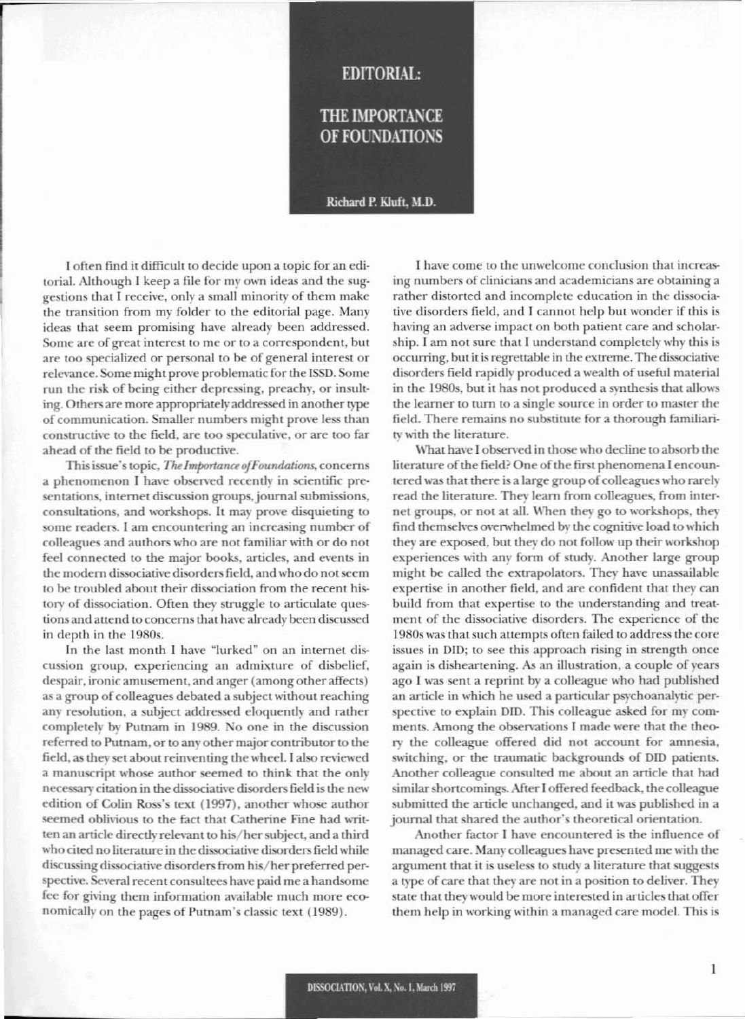## **EDITORIAL:**

## THE IMPORTANCE OF FOUNDATIONS

Richard P. Kluft, M.D.

I often find it difficult to decide upon a topic for an editorial. Although I keep a file for my own ideas and the suggestions that I receive. only a small minority of them makc the transition from my folder to the editorial page. Many ideas that seem promising have already been addressed. Some are of great interest to me or to a correspondent, but are too specialized or personal to be of general interest or relevance. Some might prove problematic for the ISSD. Some run the risk of being either depressing, preachy. or insulting. Others are more appropriately addressed in another type of communication. Smaller numbers might prove less than constructive to the field, are too speculative, or are too far ahead of the field to be productive.

This issue's topic, *The Importance of Foundations*, concerns a phenomenon I have observed recently in scientific presentations, internet discussion groups, journal submissions, consultations, and workshops. It may prove disquieting to some readers. I am encountering an increasing number of colleagues and authors who are not familiar with or do not feel connected to the major books. articles, and events in the modern dissociative disorders field, and who do not seem to be troubled about their dissociation from the recent history of dissociation. Often they struggle to articulate questions and attend to concerns that have already been discussed in depth in the 1980s.

In the last month I have "lurked" on an internet discussion group, experiencing an admixture of disbelief, despair, ironic amusement, and anger (among other affects) as a group of colleagues debated a subject without reaching any resolution, a subject addressed eloquently and rather completely by Putnam in 1989. No one in the discussion referred to Putnam, or to any other major contributor to the field, as they set about reinventing the wheel. I also reviewed a manuscript whose author seemed to think that the only necessary citation in the dissociative disorders field is the new edition of Colin Ross's text (1997), another whose author seemed oblivious to the fact that Catherine Fine had written an article directly relevant to his/her subject, and a third \\'hocited no literature in the dissociative disordersfield while discussing dissociative disorders from his/her preferred perspective. Several recent consultees have paid me a handsome fee for giving them information available much more economically on the pages of Putnam's classic text (1989).

I have come to the unwelcome conclusion that increasing numbers of clinicians and academicians are obtaining a rather distorted and incomplete education in the dissociativc disorders field, and I cannot help but wonder if this is having an adverse impact on both patient care and scholarship. I am not sure that I understand completely why this is occurring, but it is regrettable in the extreme. Thc dissociativc disorders field rapidly produced a wealth of useful material in the 1980s, but it has not produced a synthesis that allows the learner to turn to a single source in order to master the ficld. There rcmains no substitute for a thorough familiarity with the literature.

What have I observed in those who decline to absorb the literature of the field? One of the first phenomena I encountered was that there is a large group of colleagues who rarely read the literature. They learn from colleagues. from internet groups, or not at all. When they go to workshops, they find themselves overwhelmed by the cognitive load to which they are exposed, but they do not follow up their workshop experiences with any form of study. Another large group might be called the extrapolators. They have unassailable expertise in another field, and are confident that they can build from that expertise to the understanding and treatment of the dissociative disorders. The experience of thc I980s was that such attempts often failed to address the core issues in DID; to see this approach rising in strength once again is disheartening. As an illustration, a couple of years ago I was sent a reprint by a colleague who had published an article in which he used a particular psychoanalytic perspective to explain DID. This colleague asked for my comments. Among the observations I made were that the theo*ry* the colleague offered did not account for amnesia, switching, or the traumatic backgrounds of DID patients. Another colleague consulted me about an article that had similar shortcomings. After I offered feedback, the colleague submitted the article unchanged. and it was published in a journal that shared the author's theoretical orientation.

Another factor I have encountered is the influence of managed care. Many colleagues have presented me with the argument that it is useless to study a literature that suggests a type of care that they are not in a position to deliver. They state that they would be more interested in articles that offer them help in working within a managed care model. This is